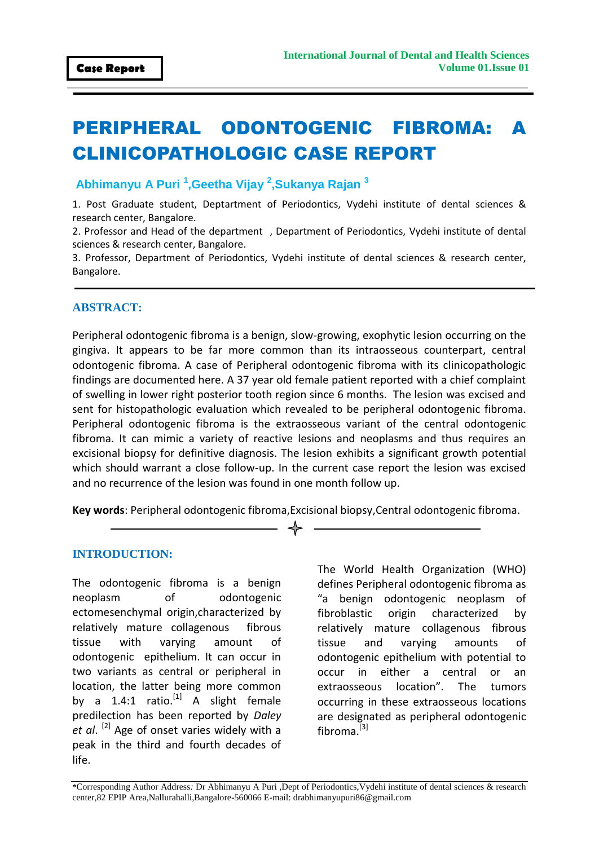# PERIPHERAL ODONTOGENIC FIBROMA: A CLINICOPATHOLOGIC CASE REPORT

 **Abhimanyu A Puri <sup>1</sup> ,Geetha Vijay <sup>2</sup> ,Sukanya Rajan <sup>3</sup>**

1. Post Graduate student, Deptartment of Periodontics, Vydehi institute of dental sciences & research center, Bangalore.

2. Professor and Head of the department , Department of Periodontics, Vydehi institute of dental sciences & research center, Bangalore.

3. Professor, Department of Periodontics, Vydehi institute of dental sciences & research center, Bangalore.

# **ABSTRACT:**

Peripheral odontogenic fibroma is a benign, slow-growing, exophytic lesion occurring on the gingiva. It appears to be far more common than its intraosseous counterpart, central odontogenic fibroma. A case of Peripheral odontogenic fibroma with its clinicopathologic findings are documented here. A 37 year old female patient reported with a chief complaint of swelling in lower right posterior tooth region since 6 months. The lesion was excised and sent for histopathologic evaluation which revealed to be peripheral odontogenic fibroma. Peripheral odontogenic fibroma is the extraosseous variant of the central odontogenic fibroma. It can mimic a variety of reactive lesions and neoplasms and thus requires an excisional biopsy for definitive diagnosis. The lesion exhibits a significant growth potential which should warrant a close follow-up. In the current case report the lesion was excised and no recurrence of the lesion was found in one month follow up.

**Key words**: Peripheral odontogenic fibroma,Excisional biopsy,Central odontogenic fibroma. ╬

#### **INTRODUCTION:**

The odontogenic fibroma is a benign neoplasm of odontogenic ectomesenchymal origin,characterized by relatively mature collagenous fibrous tissue with varying amount of odontogenic epithelium. It can occur in two variants as central or peripheral in location, the latter being more common by a 1.4:1 ratio. $^{[1]}$  A slight female predilection has been reported by *Daley*  et al. <sup>[2]</sup> Age of onset varies widely with a peak in the third and fourth decades of life.

The World Health Organization (WHO) defines Peripheral odontogenic fibroma as "a benign odontogenic neoplasm of fibroblastic origin characterized by relatively mature collagenous fibrous tissue and varying amounts of odontogenic epithelium with potential to occur in either a central or an extraosseous location". The tumors occurring in these extraosseous locations are designated as peripheral odontogenic fibroma.<sup>[3]</sup>

**\***Corresponding Author Address*:* Dr Abhimanyu A Puri ,Dept of Periodontics,Vydehi institute of dental sciences & research center,82 EPIP Area,Nallurahalli,Bangalore-560066 E-mail: drabhimanyupuri86@gmail.com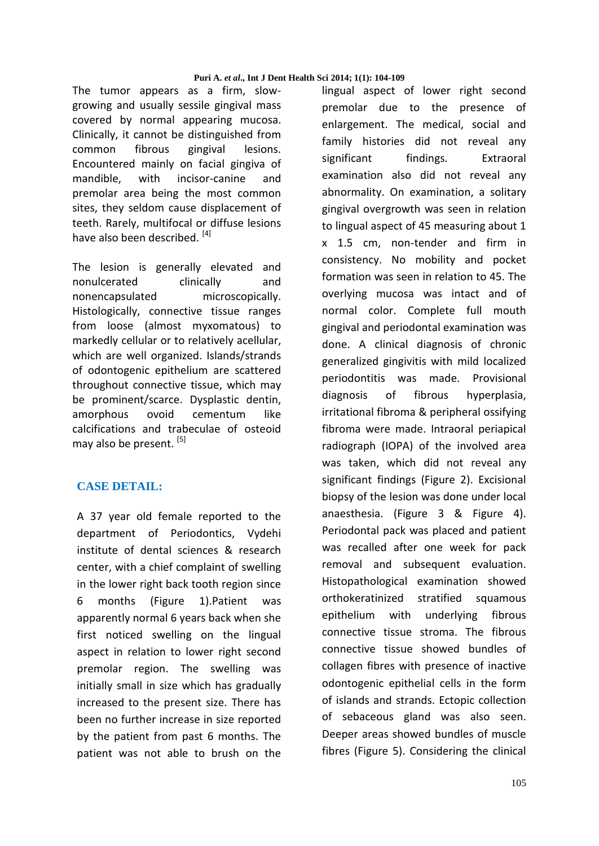The tumor appears as a firm, slowgrowing and usually sessile gingival mass covered by normal appearing mucosa. Clinically, it cannot be distinguished from common fibrous gingival lesions. Encountered mainly on facial gingiva of mandible, with incisor-canine and premolar area being the most common sites, they seldom cause displacement of teeth. Rarely, multifocal or diffuse lesions have also been described. [4]

The lesion is generally elevated and nonulcerated clinically and nonencapsulated microscopically. Histologically, connective tissue ranges from loose (almost myxomatous) to markedly cellular or to relatively acellular, which are well organized. Islands/strands of odontogenic epithelium are scattered throughout connective tissue, which may be prominent/scarce. Dysplastic dentin, amorphous ovoid cementum like calcifications and trabeculae of osteoid may also be present. [5]

# **CASE DETAIL:**

A 37 year old female reported to the department of Periodontics, Vydehi institute of dental sciences & research center, with a chief complaint of swelling in the lower right back tooth region since 6 months (Figure 1).Patient was apparently normal 6 years back when she first noticed swelling on the lingual aspect in relation to lower right second premolar region. The swelling was initially small in size which has gradually increased to the present size. There has been no further increase in size reported by the patient from past 6 months. The patient was not able to brush on the lingual aspect of lower right second premolar due to the presence of enlargement. The medical, social and family histories did not reveal any significant findings. Extraoral examination also did not reveal any abnormality. On examination, a solitary gingival overgrowth was seen in relation to lingual aspect of 45 measuring about 1 x 1.5 cm, non-tender and firm in consistency. No mobility and pocket formation was seen in relation to 45. The overlying mucosa was intact and of normal color. Complete full mouth gingival and periodontal examination was done. A clinical diagnosis of chronic generalized gingivitis with mild localized periodontitis was made. Provisional diagnosis of fibrous hyperplasia, irritational fibroma & peripheral ossifying fibroma were made. Intraoral periapical radiograph (IOPA) of the involved area was taken, which did not reveal any significant findings (Figure 2). Excisional biopsy of the lesion was done under local anaesthesia. (Figure 3 & Figure 4). Periodontal pack was placed and patient was recalled after one week for pack removal and subsequent evaluation. Histopathological examination showed orthokeratinized stratified squamous epithelium with underlying fibrous connective tissue stroma. The fibrous connective tissue showed bundles of collagen fibres with presence of inactive odontogenic epithelial cells in the form of islands and strands. Ectopic collection of sebaceous gland was also seen. Deeper areas showed bundles of muscle fibres (Figure 5). Considering the clinical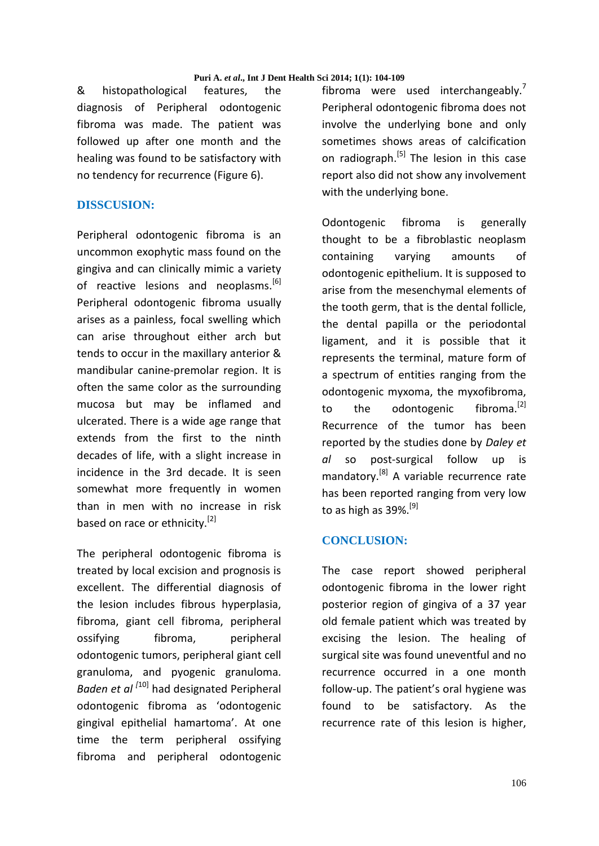& histopathological features, the diagnosis of Peripheral odontogenic fibroma was made. The patient was followed up after one month and the healing was found to be satisfactory with no tendency for recurrence (Figure 6).

# **DISSCUSION:**

Peripheral odontogenic fibroma is an uncommon exophytic mass found on the gingiva and can clinically mimic a variety of reactive lesions and neoplasms.<sup>[6]</sup> Peripheral odontogenic fibroma usually arises as a painless, focal swelling which can arise throughout either arch but tends to occur in the maxillary anterior & mandibular canine-premolar region. It is often the same color as the surrounding mucosa but may be inflamed and ulcerated. There is a wide age range that extends from the first to the ninth decades of life, with a slight increase in incidence in the 3rd decade. It is seen somewhat more frequently in women than in men with no increase in risk based on race or ethnicity.<sup>[2]</sup>

The peripheral odontogenic fibroma is treated by local excision and prognosis is excellent. The differential diagnosis of the lesion includes fibrous hyperplasia, fibroma, giant cell fibroma, peripheral ossifying fibroma, peripheral odontogenic tumors, peripheral giant cell granuloma, and pyogenic granuloma. *Baden et al [*10] had designated Peripheral odontogenic fibroma as 'odontogenic gingival epithelial hamartoma'. At one time the term peripheral ossifying fibroma and peripheral odontogenic fibroma were used interchangeably.<sup>7</sup> Peripheral odontogenic fibroma does not involve the underlying bone and only sometimes shows areas of calcification on radiograph.<sup>[5]</sup> The lesion in this case report also did not show any involvement with the underlying bone.

Odontogenic fibroma is generally thought to be a fibroblastic neoplasm containing varying amounts of odontogenic epithelium. It is supposed to arise from the mesenchymal elements of the tooth germ, that is the dental follicle, the dental papilla or the periodontal ligament, and it is possible that it represents the terminal, mature form of a spectrum of entities ranging from the odontogenic myxoma, the myxofibroma, to the odontogenic fibroma.<sup>[2]</sup> Recurrence of the tumor has been reported by the studies done by *Daley et al* so post-surgical follow up is mandatory.<sup>[8]</sup> A variable recurrence rate has been reported ranging from very low to as high as  $39\%$ .<sup>[9]</sup>

#### **CONCLUSION:**

The case report showed peripheral odontogenic fibroma in the lower right posterior region of gingiva of a 37 year old female patient which was treated by excising the lesion. The healing of surgical site was found uneventful and no recurrence occurred in a one month follow-up. The patient's oral hygiene was found to be satisfactory. As the recurrence rate of this lesion is higher,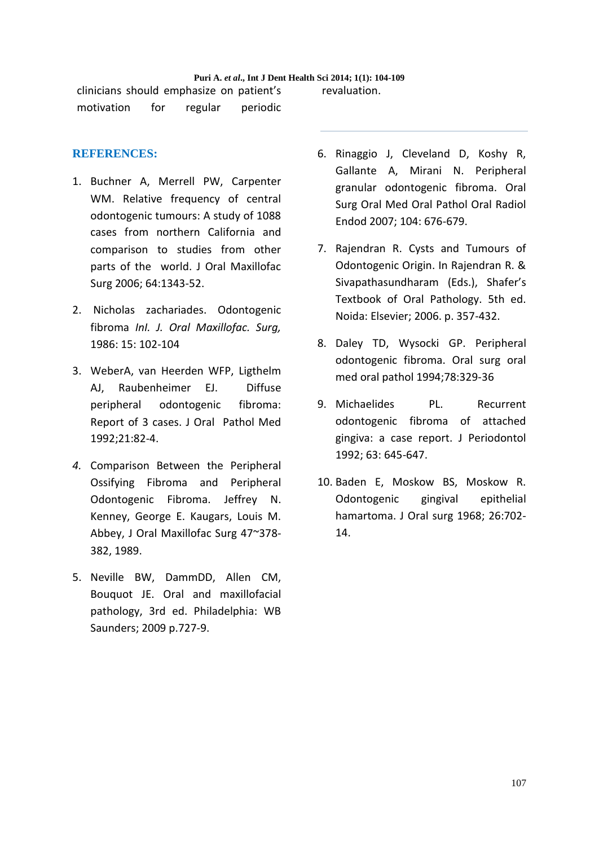#### **Puri A.** *et al***., Int J Dent Health Sci 2014; 1(1): 104-109**

clinicians should emphasize on patient's motivation for regular periodic revaluation.

## **REFERENCES:**

- 1. Buchner A, Merrell PW, Carpenter WM. Relative frequency of central odontogenic tumours: A study of 1088 cases from northern California and comparison to studies from other parts of the world. J Oral Maxillofac Surg 2006; 64:1343-52.
- 2. Nicholas zachariades. Odontogenic fibroma *InI. J. Oral Maxillofac. Surg,*  1986: 15: 102-104
- 3. WeberA, van Heerden WFP, Ligthelm AJ, Raubenheimer EJ. Diffuse peripheral odontogenic fibroma: Report of 3 cases. J Oral Pathol Med 1992;21:82-4.
- *4.* Comparison Between the Peripheral Ossifying Fibroma and Peripheral Odontogenic Fibroma. Jeffrey N. Kenney, George E. Kaugars, Louis M. Abbey, J Oral Maxillofac Surg 47~378- 382, 1989.
- 5. Neville BW, DammDD, Allen CM, Bouquot JE. Oral and maxillofacial pathology, 3rd ed. Philadelphia: WB Saunders; 2009 p.727-9.
- 6. Rinaggio J, Cleveland D, Koshy R, Gallante A, Mirani N. Peripheral granular odontogenic fibroma. Oral Surg Oral Med Oral Pathol Oral Radiol Endod 2007; 104: 676-679.
- 7. Rajendran R. Cysts and Tumours of Odontogenic Origin. In Rajendran R. & Sivapathasundharam (Eds.), Shafer's Textbook of Oral Pathology. 5th ed. Noida: Elsevier; 2006. p. 357-432.
- 8. Daley TD, Wysocki GP. Peripheral odontogenic fibroma. Oral surg oral med oral pathol 1994;78:329-36
- 9. Michaelides PL. Recurrent odontogenic fibroma of attached gingiva: a case report. J Periodontol 1992; 63: 645-647.
- 10. Baden E, Moskow BS, Moskow R. Odontogenic gingival epithelial hamartoma. J Oral surg 1968; 26:702- 14.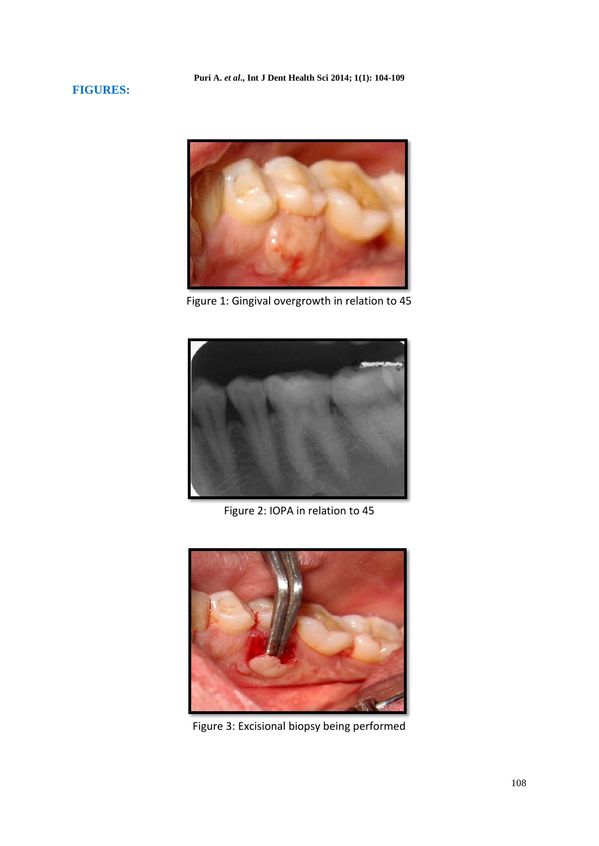## **FIGURES:**



Figure 1: Gingival overgrowth in relation to 45



Figure 2: IOPA in relation to 45



Figure 3: Excisional biopsy being performed